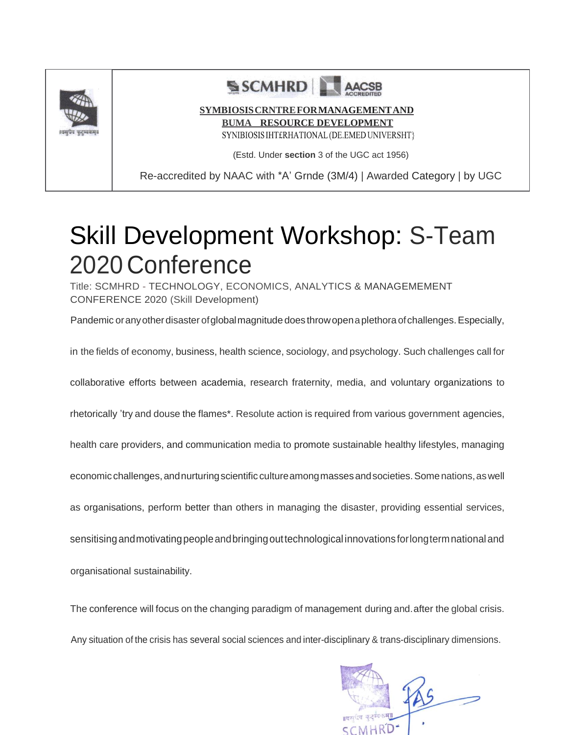

# SCMHRD

#### **SYMBIOSISCRNTREFORMANAGEMENTAND**

**BUMA RESOURCE DEVELOPMENT**

SYNIBIOSIS IHT£RHATIONAL (DE.EMED UNIVERSHT}

(Estd. Under **section** 3 of the UGC act 1956)

Re-accredited by NAAC with \*A' Grnde (3M/4) | Awarded Category | by UGC

# Skill Development Workshop: S-Team 2020 Conference

Title: SCMHRD - TECHNOLOGY, ECONOMICS, ANALYTICS & MANAGEMEMENT CONFERENCE 2020 (Skill Development)

Pandemic or any other disaster of global magnitude does throw open a plethora of challenges. Especially,

in the fields of economy, business, health science, sociology, and psychology. Such challenges call for

collaborative efforts between academia, research fraternity, media, and voluntary organizations to

rhetorically 'try and douse the flames\*. Resolute action is required from various government agencies,

health care providers, and communication media to promote sustainable healthy lifestyles, managing

economic challenges,andnurturingscientific cultureamongmassesandsocieties.Somenations,aswell

as organisations, perform better than others in managing the disaster, providing essential services,

sensitising and motivating people and bringing out technological innovations for long term national and

organisational sustainability.

The conference will focus on the changing paradigm of management during and.after the global crisis.

Any situation of the crisis has several social sciences and inter-disciplinary & trans-disciplinary dimensions.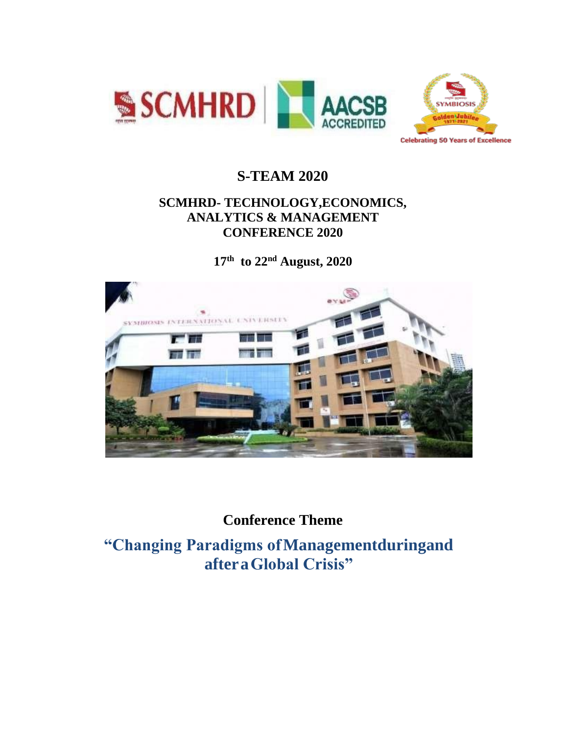

### **S-TEAM 2020**

### **SCMHRD- TECHNOLOGY,ECONOMICS, ANALYTICS & MANAGEMENT CONFERENCE 2020**

**17th to 22nd August, 2020**



### **Conference Theme**

**"Changing Paradigms ofManagementduringand afteraGlobal Crisis"**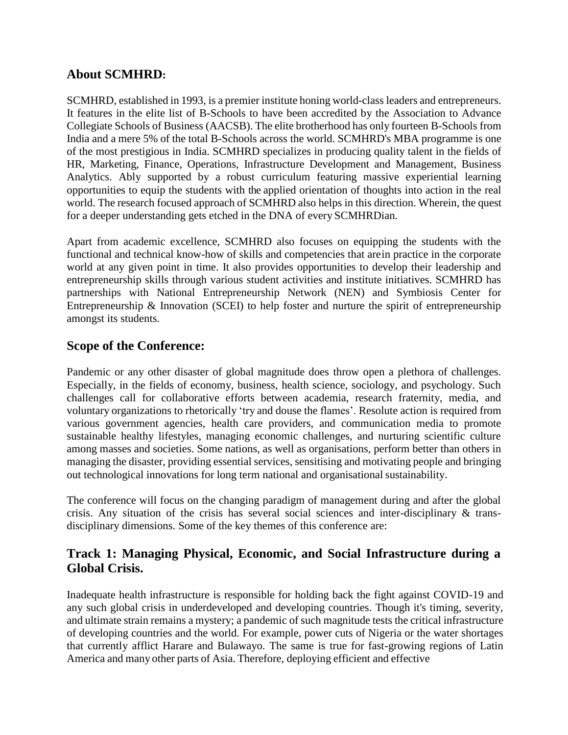#### **About SCMHRD:**

SCMHRD, established in 1993, is a premier institute honing world-class leaders and entrepreneurs. It features in the elite list of B-Schools to have been accredited by the Association to Advance Collegiate Schools of Business (AACSB). The elite brotherhood has only fourteen B-Schools from India and a mere 5% of the total B-Schools across the world. SCMHRD's MBA programme is one of the most prestigious in India. SCMHRD specializes in producing quality talent in the fields of HR, Marketing, Finance, Operations, Infrastructure Development and Management, Business Analytics. Ably supported by a robust curriculum featuring massive experiential learning opportunities to equip the students with the applied orientation of thoughts into action in the real world. The research focused approach of SCMHRD also helps in this direction. Wherein, the quest for a deeper understanding gets etched in the DNA of every SCMHRDian.

Apart from academic excellence, SCMHRD also focuses on equipping the students with the functional and technical know-how of skills and competencies that arein practice in the corporate world at any given point in time. It also provides opportunities to develop their leadership and entrepreneurship skills through various student activities and institute initiatives. SCMHRD has partnerships with National Entrepreneurship Network (NEN) and Symbiosis Center for Entrepreneurship & Innovation (SCEI) to help foster and nurture the spirit of entrepreneurship amongst its students.

#### **Scope of the Conference:**

Pandemic or any other disaster of global magnitude does throw open a plethora of challenges. Especially, in the fields of economy, business, health science, sociology, and psychology. Such challenges call for collaborative efforts between academia, research fraternity, media, and voluntary organizations to rhetorically 'try and douse the flames'. Resolute action is required from various government agencies, health care providers, and communication media to promote sustainable healthy lifestyles, managing economic challenges, and nurturing scientific culture among masses and societies. Some nations, as well as organisations, perform better than others in managing the disaster, providing essential services, sensitising and motivating people and bringing out technological innovations for long term national and organisational sustainability.

The conference will focus on the changing paradigm of management during and after the global crisis. Any situation of the crisis has several social sciences and inter-disciplinary & transdisciplinary dimensions. Some of the key themes of this conference are:

#### **Track 1: Managing Physical, Economic, and Social Infrastructure during a Global Crisis.**

Inadequate health infrastructure is responsible for holding back the fight against COVID-19 and any such global crisis in underdeveloped and developing countries. Though it's timing, severity, and ultimate strain remains a mystery; a pandemic of such magnitude tests the critical infrastructure of developing countries and the world. For example, power cuts of Nigeria or the water shortages that currently afflict Harare and Bulawayo. The same is true for fast-growing regions of Latin America and many other parts of Asia. Therefore, deploying efficient and effective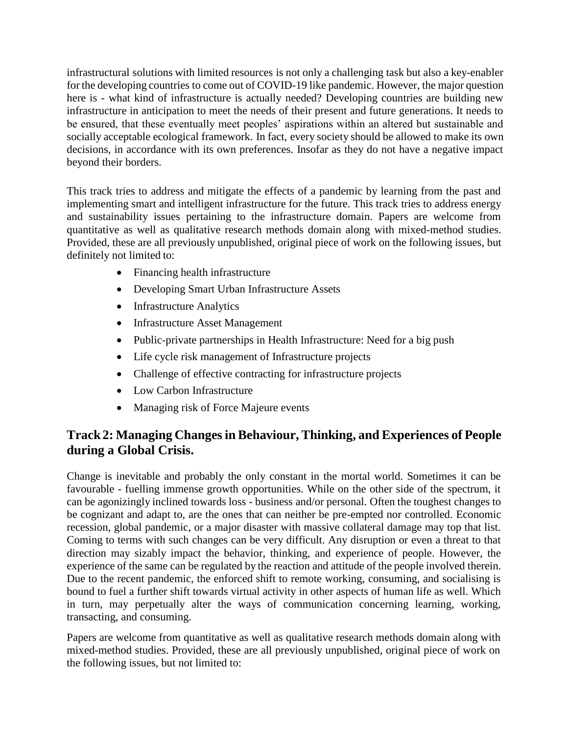infrastructural solutions with limited resources is not only a challenging task but also a key-enabler for the developing countries to come out of COVID-19 like pandemic. However, the major question here is - what kind of infrastructure is actually needed? Developing countries are building new infrastructure in anticipation to meet the needs of their present and future generations. It needs to be ensured, that these eventually meet peoples' aspirations within an altered but sustainable and socially acceptable ecological framework. In fact, every society should be allowed to make its own decisions, in accordance with its own preferences. Insofar as they do not have a negative impact beyond their borders.

This track tries to address and mitigate the effects of a pandemic by learning from the past and implementing smart and intelligent infrastructure for the future. This track tries to address energy and sustainability issues pertaining to the infrastructure domain. Papers are welcome from quantitative as well as qualitative research methods domain along with mixed-method studies. Provided, these are all previously unpublished, original piece of work on the following issues, but definitely not limited to:

- Financing health infrastructure
- Developing Smart Urban Infrastructure Assets
- Infrastructure Analytics
- Infrastructure Asset Management
- Public-private partnerships in Health Infrastructure: Need for a big push
- Life cycle risk management of Infrastructure projects
- Challenge of effective contracting for infrastructure projects
- Low Carbon Infrastructure
- Managing risk of Force Majeure events

### **Track2: Managing Changes in Behaviour, Thinking, and Experiences of People during a Global Crisis.**

Change is inevitable and probably the only constant in the mortal world. Sometimes it can be favourable - fuelling immense growth opportunities. While on the other side of the spectrum, it can be agonizingly inclined towards loss - business and/or personal. Often the toughest changes to be cognizant and adapt to, are the ones that can neither be pre-empted nor controlled. Economic recession, global pandemic, or a major disaster with massive collateral damage may top that list. Coming to terms with such changes can be very difficult. Any disruption or even a threat to that direction may sizably impact the behavior, thinking, and experience of people. However, the experience of the same can be regulated by the reaction and attitude of the people involved therein. Due to the recent pandemic, the enforced shift to remote working, consuming, and socialising is bound to fuel a further shift towards virtual activity in other aspects of human life as well. Which in turn, may perpetually alter the ways of communication concerning learning, working, transacting, and consuming.

Papers are welcome from quantitative as well as qualitative research methods domain along with mixed-method studies. Provided, these are all previously unpublished, original piece of work on the following issues, but not limited to: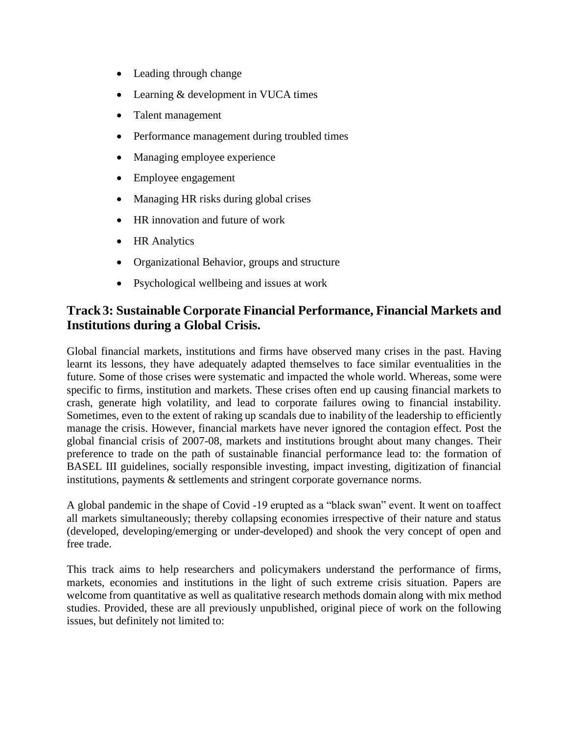- Leading through change
- Learning & development in VUCA times
- Talent management
- Performance management during troubled times
- Managing employee experience
- Employee engagement
- Managing HR risks during global crises
- HR innovation and future of work
- HR Analytics
- Organizational Behavior, groups and structure
- Psychological wellbeing and issues at work

#### **Track3: Sustainable Corporate Financial Performance, Financial Markets and Institutions during a Global Crisis.**

Global financial markets, institutions and firms have observed many crises in the past. Having learnt its lessons, they have adequately adapted themselves to face similar eventualities in the future. Some of those crises were systematic and impacted the whole world. Whereas, some were specific to firms, institution and markets. These crises often end up causing financial markets to crash, generate high volatility, and lead to corporate failures owing to financial instability. Sometimes, even to the extent of raking up scandals due to inability of the leadership to efficiently manage the crisis. However, financial markets have never ignored the contagion effect. Post the global financial crisis of 2007-08, markets and institutions brought about many changes. Their preference to trade on the path of sustainable financial performance lead to: the formation of BASEL III guidelines, socially responsible investing, impact investing, digitization of financial institutions, payments & settlements and stringent corporate governance norms.

A global pandemic in the shape of Covid -19 erupted as a "black swan" event. It went on toaffect all markets simultaneously; thereby collapsing economies irrespective of their nature and status (developed, developing/emerging or under-developed) and shook the very concept of open and free trade.

This track aims to help researchers and policymakers understand the performance of firms, markets, economies and institutions in the light of such extreme crisis situation. Papers are welcome from quantitative as well as qualitative research methods domain along with mix method studies. Provided, these are all previously unpublished, original piece of work on the following issues, but definitely not limited to: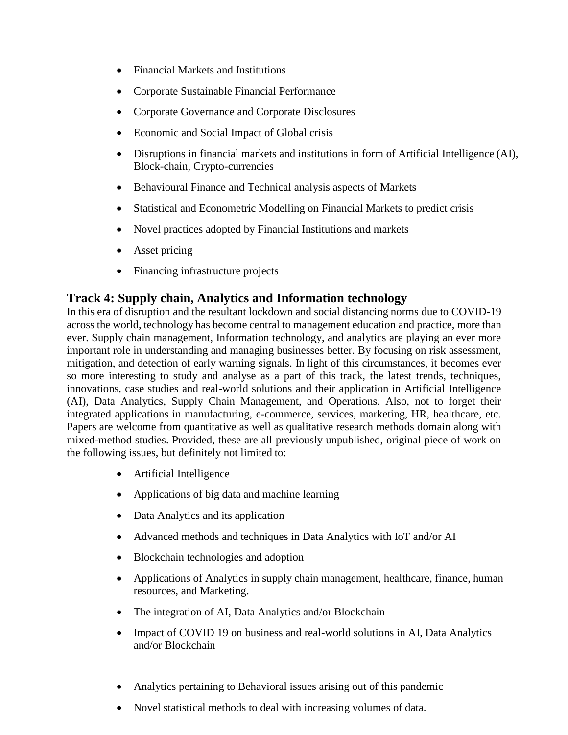- Financial Markets and Institutions
- Corporate Sustainable Financial Performance
- Corporate Governance and Corporate Disclosures
- Economic and Social Impact of Global crisis
- Disruptions in financial markets and institutions in form of Artificial Intelligence (AI), Block-chain, Crypto-currencies
- Behavioural Finance and Technical analysis aspects of Markets
- Statistical and Econometric Modelling on Financial Markets to predict crisis
- Novel practices adopted by Financial Institutions and markets
- Asset pricing
- Financing infrastructure projects

#### **Track 4: Supply chain, Analytics and Information technology**

In this era of disruption and the resultant lockdown and social distancing norms due to COVID-19 across the world, technology has become central to management education and practice, more than ever. Supply chain management, Information technology, and analytics are playing an ever more important role in understanding and managing businesses better. By focusing on risk assessment, mitigation, and detection of early warning signals. In light of this circumstances, it becomes ever so more interesting to study and analyse as a part of this track, the latest trends, techniques, innovations, case studies and real-world solutions and their application in Artificial Intelligence (AI), Data Analytics, Supply Chain Management, and Operations. Also, not to forget their integrated applications in manufacturing, e-commerce, services, marketing, HR, healthcare, etc. Papers are welcome from quantitative as well as qualitative research methods domain along with mixed-method studies. Provided, these are all previously unpublished, original piece of work on the following issues, but definitely not limited to:

- Artificial Intelligence
- Applications of big data and machine learning
- Data Analytics and its application
- Advanced methods and techniques in Data Analytics with IoT and/or AI
- Blockchain technologies and adoption
- Applications of Analytics in supply chain management, healthcare, finance, human resources, and Marketing.
- The integration of AI, Data Analytics and/or Blockchain
- Impact of COVID 19 on business and real-world solutions in AI, Data Analytics and/or Blockchain
- Analytics pertaining to Behavioral issues arising out of this pandemic
- Novel statistical methods to deal with increasing volumes of data.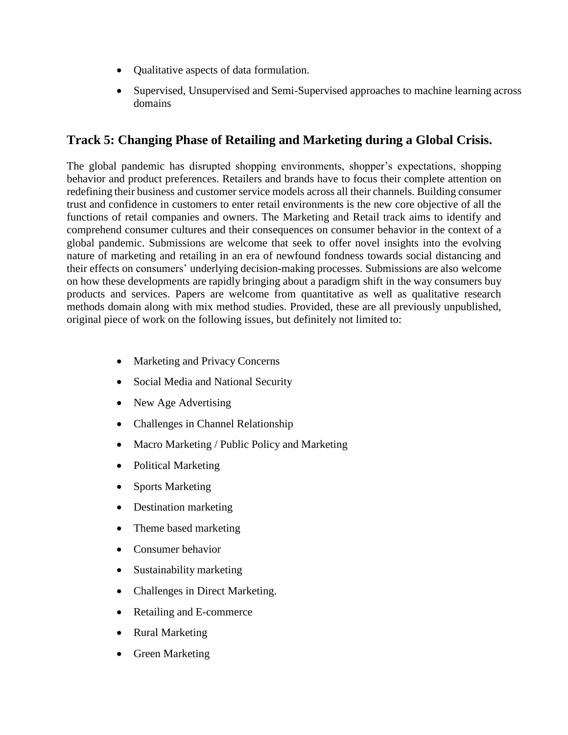- Qualitative aspects of data formulation.
- Supervised, Unsupervised and Semi-Supervised approaches to machine learning across domains

### **Track 5: Changing Phase of Retailing and Marketing during a Global Crisis.**

The global pandemic has disrupted shopping environments, shopper's expectations, shopping behavior and product preferences. Retailers and brands have to focus their complete attention on redefining their business and customer service models across all their channels. Building consumer trust and confidence in customers to enter retail environments is the new core objective of all the functions of retail companies and owners. The Marketing and Retail track aims to identify and comprehend consumer cultures and their consequences on consumer behavior in the context of a global pandemic. Submissions are welcome that seek to offer novel insights into the evolving nature of marketing and retailing in an era of newfound fondness towards social distancing and their effects on consumers' underlying decision-making processes. Submissions are also welcome on how these developments are rapidly bringing about a paradigm shift in the way consumers buy products and services. Papers are welcome from quantitative as well as qualitative research methods domain along with mix method studies. Provided, these are all previously unpublished, original piece of work on the following issues, but definitely not limited to:

- Marketing and Privacy Concerns
- Social Media and National Security
- New Age Advertising
- Challenges in Channel Relationship
- Macro Marketing / Public Policy and Marketing
- Political Marketing
- Sports Marketing
- Destination marketing
- Theme based marketing
- Consumer behavior
- Sustainability marketing
- Challenges in Direct Marketing.
- Retailing and E-commerce
- Rural Marketing
- Green Marketing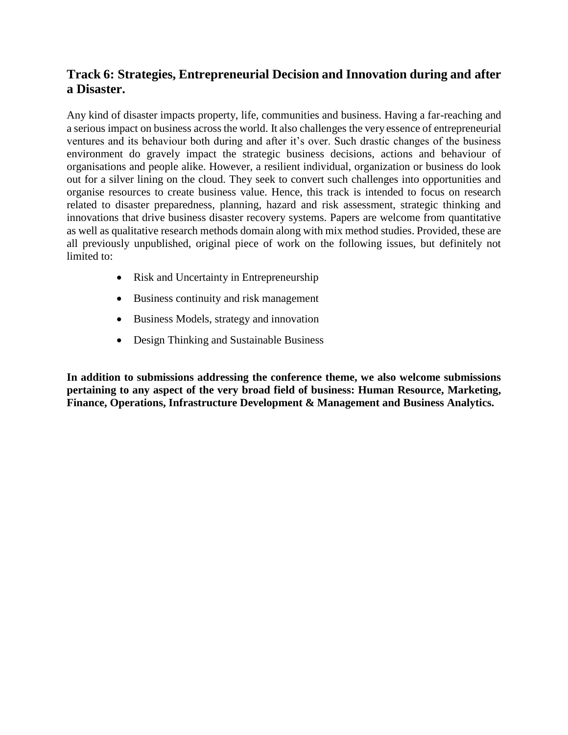#### **Track 6: Strategies, Entrepreneurial Decision and Innovation during and after a Disaster.**

Any kind of disaster impacts property, life, communities and business. Having a far-reaching and a serious impact on business across the world. It also challenges the very essence of entrepreneurial ventures and its behaviour both during and after it's over. Such drastic changes of the business environment do gravely impact the strategic business decisions, actions and behaviour of organisations and people alike. However, a resilient individual, organization or business do look out for a silver lining on the cloud. They seek to convert such challenges into opportunities and organise resources to create business value. Hence, this track is intended to focus on research related to disaster preparedness, planning, hazard and risk assessment, strategic thinking and innovations that drive business disaster recovery systems. Papers are welcome from quantitative as well as qualitative research methods domain along with mix method studies. Provided, these are all previously unpublished, original piece of work on the following issues, but definitely not limited to:

- Risk and Uncertainty in Entrepreneurship
- Business continuity and risk management
- Business Models, strategy and innovation
- Design Thinking and Sustainable Business

**In addition to submissions addressing the conference theme, we also welcome submissions pertaining to any aspect of the very broad field of business: Human Resource, Marketing, Finance, Operations, Infrastructure Development & Management and Business Analytics.**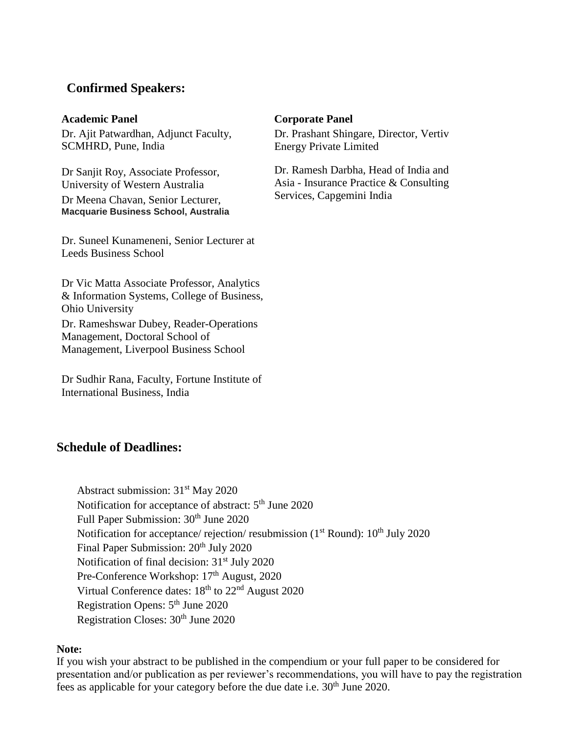#### **Confirmed Speakers:**

Dr. Ajit Patwardhan, Adjunct Faculty, SCMHRD, Pune, India

Dr Sanjit Roy, Associate Professor, University of Western Australia Dr Meena Chavan, Senior Lecturer, **Macquarie Business School, Australia**

Dr. Suneel Kunameneni, Senior Lecturer at Leeds Business School

Dr Vic Matta Associate Professor, Analytics & Information Systems, College of Business, Ohio University Dr. Rameshswar Dubey, Reader-Operations Management, Doctoral School of Management, Liverpool Business School

Dr Sudhir Rana, Faculty, Fortune Institute of International Business, India

#### **Schedule of Deadlines:**

#### Abstract submission: 31<sup>st</sup> May 2020 Notification for acceptance of abstract:  $5<sup>th</sup>$  June 2020 Full Paper Submission: 30<sup>th</sup> June 2020 Notification for acceptance/ rejection/ resubmission ( $1<sup>st</sup>$  Round):  $10<sup>th</sup>$  July 2020 Final Paper Submission:  $20<sup>th</sup>$  July 2020 Notification of final decision: 31<sup>st</sup> July 2020 Pre-Conference Workshop: 17<sup>th</sup> August, 2020 Virtual Conference dates:  $18<sup>th</sup>$  to  $22<sup>nd</sup>$  August 2020 Registration Opens: 5th June 2020 Registration Closes:  $30<sup>th</sup>$  June 2020

#### **Note:**

If you wish your abstract to be published in the compendium or your full paper to be considered for presentation and/or publication as per reviewer's recommendations, you will have to pay the registration fees as applicable for your category before the due date i.e.  $30<sup>th</sup>$  June 2020.

#### **Academic Panel Corporate Panel**

Dr. Prashant Shingare, Director, Vertiv Energy Private Limited

Dr. Ramesh Darbha, Head of India and Asia - Insurance Practice & Consulting Services, Capgemini India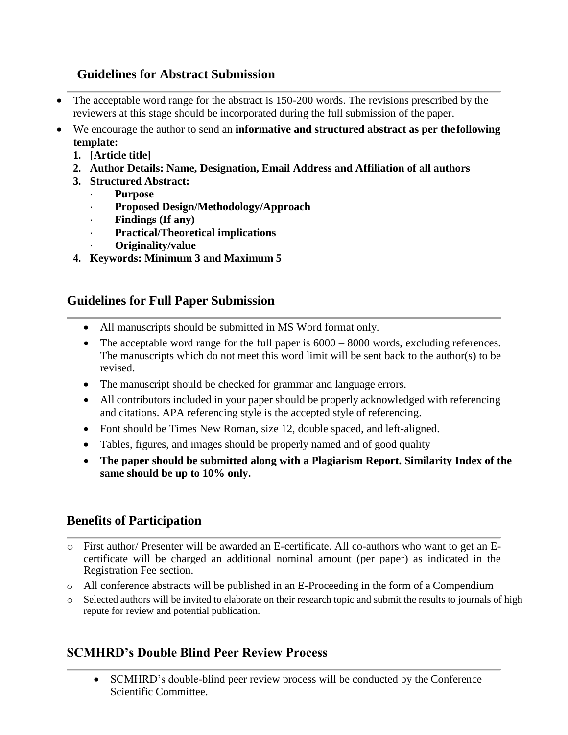#### **Guidelines for Abstract Submission**

- The acceptable word range for the abstract is 150-200 words. The revisions prescribed by the reviewers at this stage should be incorporated during the full submission of the paper.
- We encourage the author to send an **informative and structured abstract as per thefollowing template:**
	- **1. [Article title]**
	- **2. Author Details: Name, Designation, Email Address and Affiliation of all authors**
	- **3. Structured Abstract:**
		- · **Purpose**
		- · **Proposed Design/Methodology/Approach**
		- · **Findings (If any)**
		- · **Practical/Theoretical implications**
			- · **Originality/value**
	- **4. Keywords: Minimum 3 and Maximum 5**

### **Guidelines for Full Paper Submission**

- All manuscripts should be submitted in MS Word format only.
- $\bullet$  The acceptable word range for the full paper is  $6000 8000$  words, excluding references. The manuscripts which do not meet this word limit will be sent back to the author(s) to be revised.
- The manuscript should be checked for grammar and language errors.
- All contributors included in your paper should be properly acknowledged with referencing and citations. APA referencing style is the accepted style of referencing.
- Font should be Times New Roman, size 12, double spaced, and left-aligned.
- Tables, figures, and images should be properly named and of good quality
- **The paper should be submitted along with a Plagiarism Report. Similarity Index of the same should be up to 10% only.**

### **Benefits of Participation**

- o First author/ Presenter will be awarded an E-certificate. All co-authors who want to get an Ecertificate will be charged an additional nominal amount (per paper) as indicated in the Registration Fee section.
- o All conference abstracts will be published in an E-Proceeding in the form of a Compendium
- o Selected authors will be invited to elaborate on their research topic and submit the results to journals of high repute for review and potential publication.

### **SCMHRD's Double Blind Peer Review Process**

 SCMHRD's double-blind peer review process will be conducted by the Conference Scientific Committee.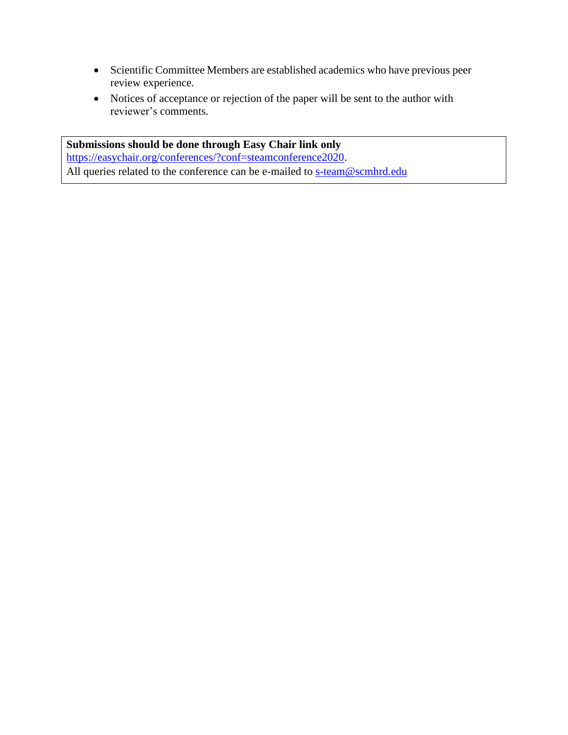- Scientific Committee Members are established academics who have previous peer review experience.
- Notices of acceptance or rejection of the paper will be sent to the author with reviewer's comments.

**Submissions should be done through Easy Chair link only** [https://easychair.org/conferences/?conf=steamconference2020.](https://easychair.org/conferences/?conf=steamconference2020) All queries related to the conference can be e-mailed to [s-team@scmhrd.edu](mailto:s-team@scmhrd.edu)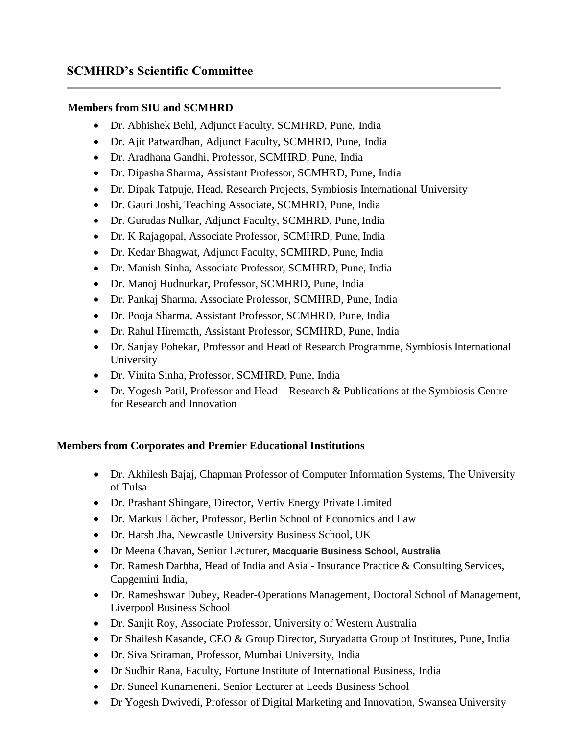#### **SCMHRD's Scientific Committee**

#### **Members from SIU and SCMHRD**

- Dr. Abhishek Behl, Adjunct Faculty, SCMHRD, Pune, India
- Dr. Ajit Patwardhan, Adjunct Faculty, SCMHRD, Pune, India
- Dr. Aradhana Gandhi, Professor, SCMHRD, Pune, India
- Dr. Dipasha Sharma, Assistant Professor, SCMHRD, Pune, India
- Dr. Dipak Tatpuje, Head, Research Projects, Symbiosis International University
- Dr. Gauri Joshi, Teaching Associate, SCMHRD, Pune, India
- Dr. Gurudas Nulkar, Adjunct Faculty, SCMHRD, Pune, India
- Dr. K Rajagopal, Associate Professor, SCMHRD, Pune, India
- Dr. Kedar Bhagwat, Adjunct Faculty, SCMHRD, Pune, India
- Dr. Manish Sinha, Associate Professor, SCMHRD, Pune, India
- Dr. Manoj Hudnurkar, Professor, SCMHRD, Pune, India
- Dr. Pankaj Sharma, Associate Professor, SCMHRD, Pune, India
- Dr. Pooja Sharma, Assistant Professor, SCMHRD, Pune, India
- Dr. Rahul Hiremath, Assistant Professor, SCMHRD, Pune, India
- Dr. Sanjay Pohekar, Professor and Head of Research Programme, Symbiosis International University
- Dr. Vinita Sinha, Professor, SCMHRD, Pune, India
- Dr. Yogesh Patil, Professor and Head Research & Publications at the Symbiosis Centre for Research and Innovation

#### **Members from Corporates and Premier Educational Institutions**

- Dr. Akhilesh Bajaj, Chapman Professor of Computer Information Systems, The University of Tulsa
- Dr. Prashant Shingare, Director, Vertiv Energy Private Limited
- Dr. Markus Löcher, Professor, Berlin School of Economics and Law
- Dr. Harsh Jha, Newcastle University Business School, UK
- Dr Meena Chavan, Senior Lecturer, **Macquarie Business School, Australia**
- Dr. Ramesh Darbha, Head of India and Asia Insurance Practice & Consulting Services, Capgemini India,
- Dr. Rameshswar Dubey, Reader-Operations Management, Doctoral School of Management, Liverpool Business School
- Dr. Sanjit Roy, Associate Professor, University of Western Australia
- Dr Shailesh Kasande, CEO & Group Director, Suryadatta Group of Institutes, Pune, India
- Dr. Siva Sriraman, Professor, Mumbai University, India
- Dr Sudhir Rana, Faculty, Fortune Institute of International Business, India
- Dr. Suneel Kunameneni, Senior Lecturer at Leeds Business School
- Dr Yogesh Dwivedi, Professor of Digital Marketing and Innovation, Swansea University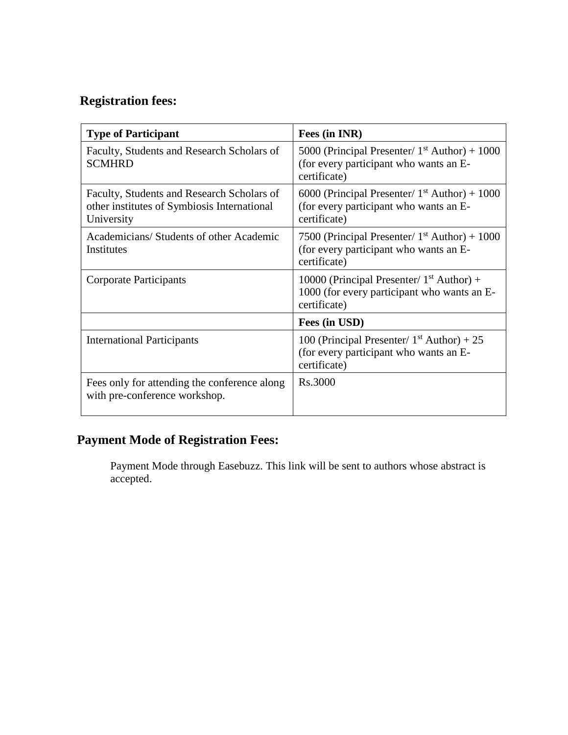### **Registration fees:**

| <b>Type of Participant</b>                                                                              | Fees (in INR)                                                                                              |  |
|---------------------------------------------------------------------------------------------------------|------------------------------------------------------------------------------------------------------------|--|
| Faculty, Students and Research Scholars of<br><b>SCMHRD</b>                                             | 5000 (Principal Presenter/ $1st$ Author) + 1000<br>(for every participant who wants an E-<br>certificate)  |  |
| Faculty, Students and Research Scholars of<br>other institutes of Symbiosis International<br>University | 6000 (Principal Presenter/ $1st$ Author) + 1000<br>(for every participant who wants an E-<br>certificate)  |  |
| Academicians/Students of other Academic<br>Institutes                                                   | 7500 (Principal Presenter/ $1st$ Author) + 1000<br>(for every participant who wants an E-<br>certificate)  |  |
| <b>Corporate Participants</b>                                                                           | 10000 (Principal Presenter/ $1st$ Author) +<br>1000 (for every participant who wants an E-<br>certificate) |  |
|                                                                                                         | Fees (in USD)                                                                                              |  |
| <b>International Participants</b>                                                                       | 100 (Principal Presenter/ $1st$ Author) + 25<br>(for every participant who wants an E-<br>certificate)     |  |
| Fees only for attending the conference along<br>with pre-conference workshop.                           | Rs.3000                                                                                                    |  |

### **Payment Mode of Registration Fees:**

Payment Mode through Easebuzz. This link will be sent to authors whose abstract is accepted.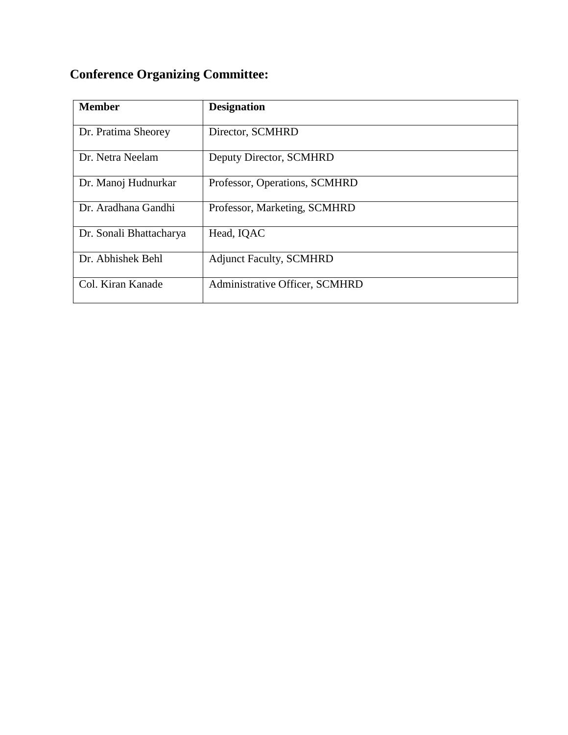## **Conference Organizing Committee:**

| <b>Member</b>           | <b>Designation</b>             |
|-------------------------|--------------------------------|
|                         |                                |
| Dr. Pratima Sheorey     | Director, SCMHRD               |
| Dr. Netra Neelam        | Deputy Director, SCMHRD        |
| Dr. Manoj Hudnurkar     | Professor, Operations, SCMHRD  |
| Dr. Aradhana Gandhi     | Professor, Marketing, SCMHRD   |
| Dr. Sonali Bhattacharya | Head, IQAC                     |
| Dr. Abhishek Behl       | <b>Adjunct Faculty, SCMHRD</b> |
| Col. Kiran Kanade       | Administrative Officer, SCMHRD |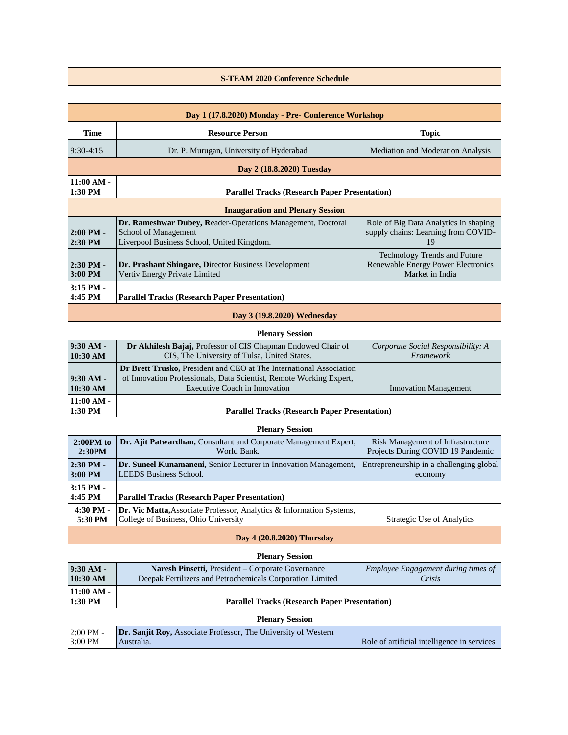| <b>S-TEAM 2020 Conference Schedule</b>              |                                                                                                                                                                                    |                                                                                       |  |  |  |
|-----------------------------------------------------|------------------------------------------------------------------------------------------------------------------------------------------------------------------------------------|---------------------------------------------------------------------------------------|--|--|--|
|                                                     |                                                                                                                                                                                    |                                                                                       |  |  |  |
| Day 1 (17.8.2020) Monday - Pre- Conference Workshop |                                                                                                                                                                                    |                                                                                       |  |  |  |
| <b>Time</b>                                         | <b>Resource Person</b>                                                                                                                                                             | <b>Topic</b>                                                                          |  |  |  |
| $9:30-4:15$                                         | Dr. P. Murugan, University of Hyderabad                                                                                                                                            | Mediation and Moderation Analysis                                                     |  |  |  |
|                                                     | Day 2 (18.8.2020) Tuesday                                                                                                                                                          |                                                                                       |  |  |  |
| $11:00 AM -$<br>1:30 PM                             | <b>Parallel Tracks (Research Paper Presentation)</b>                                                                                                                               |                                                                                       |  |  |  |
|                                                     | <b>Inaugaration and Plenary Session</b>                                                                                                                                            |                                                                                       |  |  |  |
| $2:00$ PM -<br>$2:30$ PM                            | Dr. Rameshwar Dubey, Reader-Operations Management, Doctoral<br>School of Management<br>Liverpool Business School, United Kingdom.                                                  | Role of Big Data Analytics in shaping<br>supply chains: Learning from COVID-<br>19    |  |  |  |
| 2:30 PM -<br>3:00 PM                                | Dr. Prashant Shingare, Director Business Development<br>Vertiv Energy Private Limited                                                                                              | Technology Trends and Future<br>Renewable Energy Power Electronics<br>Market in India |  |  |  |
| 3:15 PM -<br>4:45 PM                                | <b>Parallel Tracks (Research Paper Presentation)</b>                                                                                                                               |                                                                                       |  |  |  |
|                                                     | Day 3 (19.8.2020) Wednesday                                                                                                                                                        |                                                                                       |  |  |  |
|                                                     | <b>Plenary Session</b>                                                                                                                                                             |                                                                                       |  |  |  |
| $9:30 AM -$<br>10:30 AM                             | Dr Akhilesh Bajaj, Professor of CIS Chapman Endowed Chair of<br>CIS, The University of Tulsa, United States.                                                                       | Corporate Social Responsibility: A<br>Framework                                       |  |  |  |
| $9:30 AM -$<br>10:30 AM                             | Dr Brett Trusko, President and CEO at The International Association<br>of Innovation Professionals, Data Scientist, Remote Working Expert,<br><b>Executive Coach in Innovation</b> | <b>Innovation Management</b>                                                          |  |  |  |
| $11:00 AM -$<br>1:30 PM                             | <b>Parallel Tracks (Research Paper Presentation)</b>                                                                                                                               |                                                                                       |  |  |  |
|                                                     | <b>Plenary Session</b>                                                                                                                                                             |                                                                                       |  |  |  |
| $2:00PM$ to<br>2:30PM                               | Dr. Ajit Patwardhan, Consultant and Corporate Management Expert,<br>World Bank.                                                                                                    | Risk Management of Infrastructure<br>Projects During COVID 19 Pandemic                |  |  |  |
| $2:30$ PM $-$<br>3:00 PM                            | Dr. Suneel Kunamaneni, Senior Lecturer in Innovation Management,<br><b>LEEDS Business School.</b>                                                                                  | Entrepreneurship in a challenging global<br>economy                                   |  |  |  |
| 3:15 PM -<br>4:45 PM                                | <b>Parallel Tracks (Research Paper Presentation)</b>                                                                                                                               |                                                                                       |  |  |  |
| 4:30 PM -<br>5:30 PM                                | Dr. Vic Matta, Associate Professor, Analytics & Information Systems,<br>College of Business, Ohio University                                                                       | <b>Strategic Use of Analytics</b>                                                     |  |  |  |
| Day 4 (20.8.2020) Thursday                          |                                                                                                                                                                                    |                                                                                       |  |  |  |
| <b>Plenary Session</b>                              |                                                                                                                                                                                    |                                                                                       |  |  |  |
| $9:30 AM -$<br>10:30 AM                             | Naresh Pinsetti, President - Corporate Governance<br>Deepak Fertilizers and Petrochemicals Corporation Limited                                                                     | Employee Engagement during times of<br>Crisis                                         |  |  |  |
| 11:00 AM -<br>1:30 PM                               | <b>Parallel Tracks (Research Paper Presentation)</b>                                                                                                                               |                                                                                       |  |  |  |
| <b>Plenary Session</b>                              |                                                                                                                                                                                    |                                                                                       |  |  |  |
| 2:00 PM -<br>3:00 PM                                | Dr. Sanjit Roy, Associate Professor, The University of Western<br>Australia.                                                                                                       | Role of artificial intelligence in services                                           |  |  |  |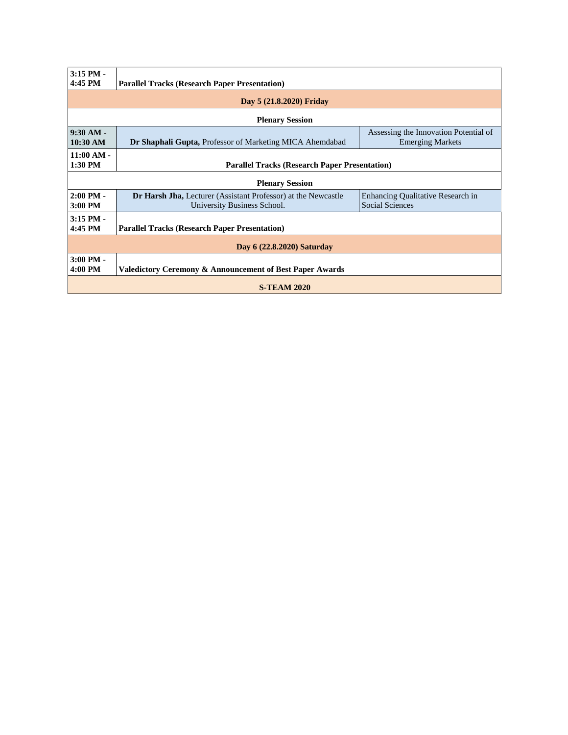| $3:15$ PM -<br>4:45 PM                                                         | <b>Parallel Tracks (Research Paper Presentation)</b>                                                |                                                                  |  |  |  |  |
|--------------------------------------------------------------------------------|-----------------------------------------------------------------------------------------------------|------------------------------------------------------------------|--|--|--|--|
| Day 5 (21.8.2020) Friday                                                       |                                                                                                     |                                                                  |  |  |  |  |
| <b>Plenary Session</b>                                                         |                                                                                                     |                                                                  |  |  |  |  |
| $9:30 AM -$<br>10:30 AM                                                        | <b>Dr Shaphali Gupta, Professor of Marketing MICA Ahemdabad</b>                                     | Assessing the Innovation Potential of<br><b>Emerging Markets</b> |  |  |  |  |
| $11:00 AM -$<br>1:30 PM                                                        | <b>Parallel Tracks (Research Paper Presentation)</b>                                                |                                                                  |  |  |  |  |
| <b>Plenary Session</b>                                                         |                                                                                                     |                                                                  |  |  |  |  |
| $2:00$ PM -<br>$3:00$ PM                                                       | <b>Dr Harsh Jha, Lecturer</b> (Assistant Professor) at the Newcastle<br>University Business School. | Enhancing Qualitative Research in<br><b>Social Sciences</b>      |  |  |  |  |
| $3:15$ PM -<br>4:45 PM<br><b>Parallel Tracks (Research Paper Presentation)</b> |                                                                                                     |                                                                  |  |  |  |  |
| Day 6 (22.8.2020) Saturday                                                     |                                                                                                     |                                                                  |  |  |  |  |
| $3:00$ PM $-$<br>4:00 PM                                                       | <b>Valedictory Ceremony &amp; Announcement of Best Paper Awards</b>                                 |                                                                  |  |  |  |  |
| <b>S-TEAM 2020</b>                                                             |                                                                                                     |                                                                  |  |  |  |  |